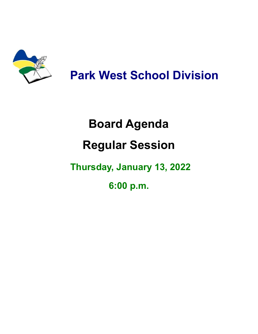

**Park West School Division**

# **Board Agenda Regular Session**

# **Thursday, January 13, 2022**

**6:00 p.m.**